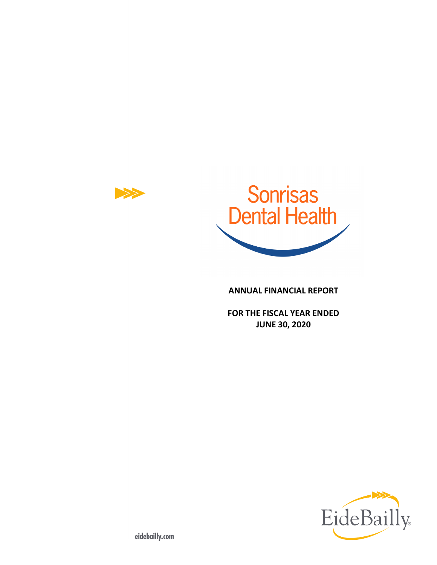

### **ANNUAL FINANCIAL REPORT**

**FOR THE FISCAL YEAR ENDED JUNE 30, 2020** 



**eidebailly.com**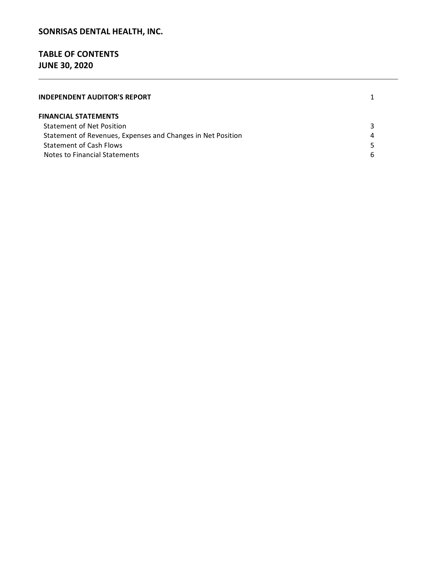# **TABLE OF CONTENTS JUNE 30, 2020**

| <b>INDEPENDENT AUDITOR'S REPORT</b>                         |   |
|-------------------------------------------------------------|---|
| <b>FINANCIAL STATEMENTS</b>                                 |   |
| <b>Statement of Net Position</b>                            |   |
| Statement of Revenues, Expenses and Changes in Net Position | 4 |
| <b>Statement of Cash Flows</b>                              |   |
| Notes to Financial Statements                               |   |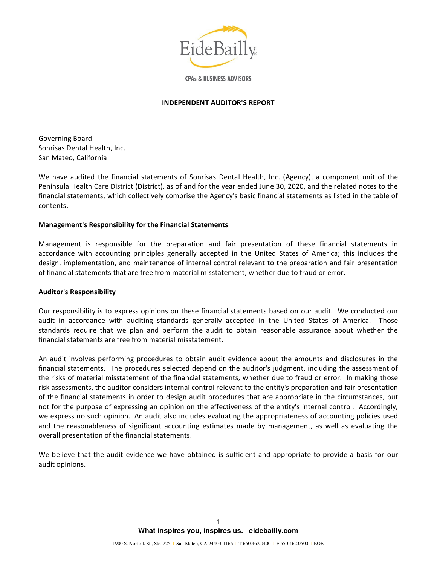

**CPAs & BUSINESS ADVISORS** 

#### **INDEPENDENT AUDITOR'S REPORT**

Governing Board Sonrisas Dental Health, Inc. San Mateo, California

We have audited the financial statements of Sonrisas Dental Health, Inc. (Agency), a component unit of the Peninsula Health Care District (District), as of and for the year ended June 30, 2020, and the related notes to the financial statements, which collectively comprise the Agency's basic financial statements as listed in the table of contents.

#### **Management's Responsibility for the Financial Statements**

Management is responsible for the preparation and fair presentation of these financial statements in accordance with accounting principles generally accepted in the United States of America; this includes the design, implementation, and maintenance of internal control relevant to the preparation and fair presentation of financial statements that are free from material misstatement, whether due to fraud or error.

#### **Auditor's Responsibility**

Our responsibility is to express opinions on these financial statements based on our audit. We conducted our audit in accordance with auditing standards generally accepted in the United States of America. Those standards require that we plan and perform the audit to obtain reasonable assurance about whether the financial statements are free from material misstatement.

An audit involves performing procedures to obtain audit evidence about the amounts and disclosures in the financial statements. The procedures selected depend on the auditor's judgment, including the assessment of the risks of material misstatement of the financial statements, whether due to fraud or error. In making those risk assessments, the auditor considers internal control relevant to the entity's preparation and fair presentation of the financial statements in order to design audit procedures that are appropriate in the circumstances, but not for the purpose of expressing an opinion on the effectiveness of the entity's internal control. Accordingly, we express no such opinion. An audit also includes evaluating the appropriateness of accounting policies used and the reasonableness of significant accounting estimates made by management, as well as evaluating the overall presentation of the financial statements.

We believe that the audit evidence we have obtained is sufficient and appropriate to provide a basis for our audit opinions.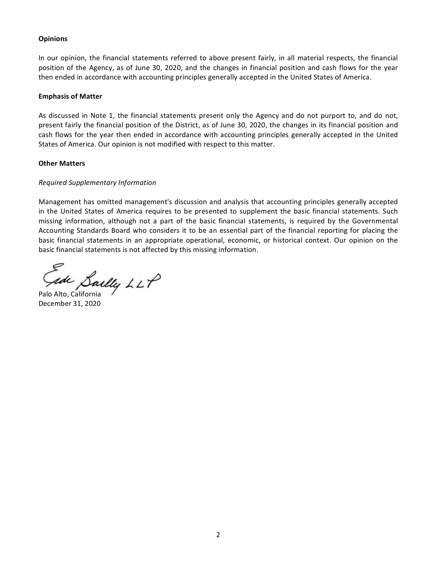#### **Opinions**

In our opinion, the financial statements referred to above present fairly, in all material respects, the financial position of the Agency, as of June 30, 2020, and the changes in financial position and cash flows for the year then ended in accordance with accounting principles generally accepted in the United States of America.

#### **Emphasis of Matter**

As discussed in Note 1, the financial statements present only the Agency and do not purport to, and do not, present fairly the financial position of the District, as of June 30, 2020, the changes in its financial position and cash flows for the year then ended in accordance with accounting principles generally accepted in the United States of America. Our opinion is not modified with respect to this matter.

#### **Other Matters**

#### *Required Supplementary Information*

Management has omitted management's discussion and analysis that accounting principles generally accepted in the United States of America requires to be presented to supplement the basic financial statements. Such missing information, although not a part of the basic financial statements, is required by the Governmental Accounting Standards Board who considers it to be an essential part of the financial reporting for placing the basic financial statements in an appropriate operational, economic, or historical context. Our opinion on the basic financial statements is not affected by this missing information.

Gade Sailly LLP

December 31, 2020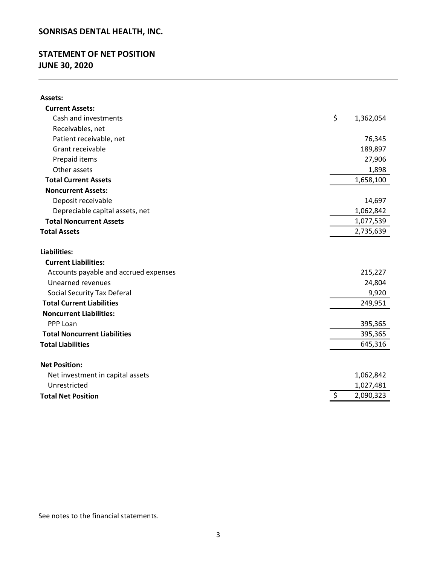# **STATEMENT OF NET POSITION JUNE 30, 2020**

| <b>Assets:</b>                        |                 |
|---------------------------------------|-----------------|
| <b>Current Assets:</b>                |                 |
| Cash and investments                  | \$<br>1,362,054 |
| Receivables, net                      |                 |
| Patient receivable, net               | 76,345          |
| Grant receivable                      | 189,897         |
| Prepaid items                         | 27,906          |
| Other assets                          | 1,898           |
| <b>Total Current Assets</b>           | 1,658,100       |
| <b>Noncurrent Assets:</b>             |                 |
| Deposit receivable                    | 14,697          |
| Depreciable capital assets, net       | 1,062,842       |
| <b>Total Noncurrent Assets</b>        | 1,077,539       |
| <b>Total Assets</b>                   | 2,735,639       |
| <b>Liabilities:</b>                   |                 |
| <b>Current Liabilities:</b>           |                 |
| Accounts payable and accrued expenses | 215,227         |
| Unearned revenues                     | 24,804          |
| <b>Social Security Tax Deferal</b>    | 9,920           |
| <b>Total Current Liabilities</b>      | 249,951         |
| <b>Noncurrent Liabilities:</b>        |                 |
| PPP Loan                              | 395,365         |
| <b>Total Noncurrent Liabilities</b>   | 395,365         |
| <b>Total Liabilities</b>              | 645,316         |
| <b>Net Position:</b>                  |                 |
| Net investment in capital assets      | 1,062,842       |
| Unrestricted                          | 1,027,481       |
| <b>Total Net Position</b>             | \$<br>2,090,323 |

See notes to the financial statements.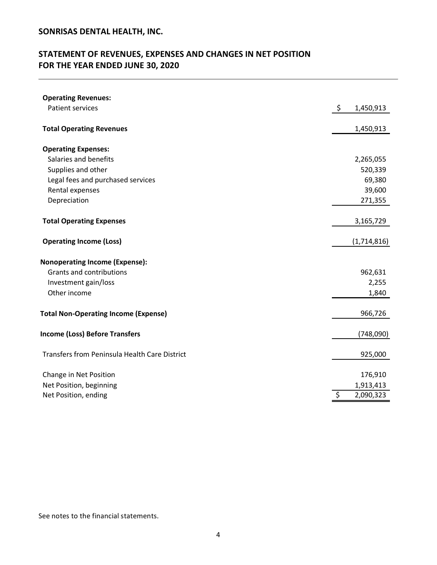# **STATEMENT OF REVENUES, EXPENSES AND CHANGES IN NET POSITION FOR THE YEAR ENDED JUNE 30, 2020**

| <b>Operating Revenues:</b>                           |                 |
|------------------------------------------------------|-----------------|
| <b>Patient services</b>                              | \$<br>1,450,913 |
| <b>Total Operating Revenues</b>                      | 1,450,913       |
| <b>Operating Expenses:</b>                           |                 |
| Salaries and benefits                                | 2,265,055       |
| Supplies and other                                   | 520,339         |
| Legal fees and purchased services                    | 69,380          |
| Rental expenses                                      | 39,600          |
| Depreciation                                         | 271,355         |
| <b>Total Operating Expenses</b>                      | 3,165,729       |
| <b>Operating Income (Loss)</b>                       | (1,714,816)     |
| <b>Nonoperating Income (Expense):</b>                |                 |
| <b>Grants and contributions</b>                      | 962,631         |
| Investment gain/loss                                 | 2,255           |
| Other income                                         | 1,840           |
| <b>Total Non-Operating Income (Expense)</b>          | 966,726         |
| <b>Income (Loss) Before Transfers</b>                | (748,090)       |
| <b>Transfers from Peninsula Health Care District</b> | 925,000         |
| Change in Net Position                               | 176,910         |
| Net Position, beginning                              | 1,913,413       |
| Net Position, ending                                 | \$<br>2,090,323 |

See notes to the financial statements.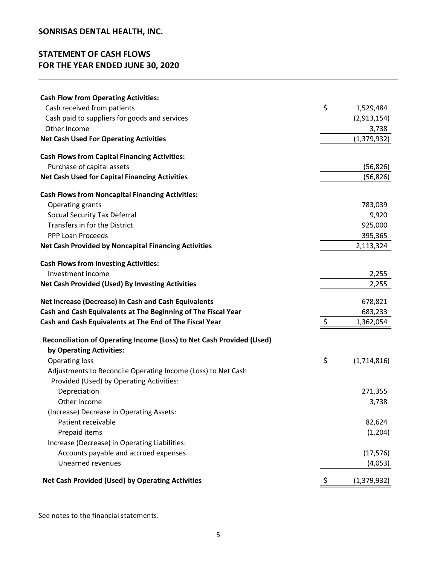# **STATEMENT OF CASH FLOWS FOR THE YEAR ENDED JUNE 30, 2020**

| <b>Cash Flow from Operating Activities:</b>                                                       |                   |
|---------------------------------------------------------------------------------------------------|-------------------|
| Cash received from patients                                                                       | \$<br>1,529,484   |
| Cash paid to suppliers for goods and services                                                     | (2,913,154)       |
| Other Income                                                                                      | 3,738             |
| <b>Net Cash Used For Operating Activities</b>                                                     | (1,379,932)       |
| <b>Cash Flows from Capital Financing Activities:</b>                                              |                   |
| Purchase of capital assets                                                                        | (56, 826)         |
| <b>Net Cash Used for Capital Financing Activities</b>                                             | (56, 826)         |
| <b>Cash Flows from Noncapital Financing Activities:</b>                                           |                   |
| Operating grants                                                                                  | 783,039           |
| <b>Socual Security Tax Deferral</b>                                                               | 9,920             |
| Transfers in for the District                                                                     | 925,000           |
| PPP Loan Proceeds                                                                                 | 395,365           |
| <b>Net Cash Provided by Noncapital Financing Activities</b>                                       | 2,113,324         |
| <b>Cash Flows from Investing Activities:</b>                                                      |                   |
| Investment income                                                                                 | 2,255             |
| <b>Net Cash Provided (Used) By Investing Activities</b>                                           | 2,255             |
| Net Increase (Decrease) In Cash and Cash Equivalents                                              | 678,821           |
| Cash and Cash Equivalents at The Beginning of The Fiscal Year                                     | 683,233           |
| Cash and Cash Equivalents at The End of The Fiscal Year                                           | \$<br>1,362,054   |
| Reconciliation of Operating Income (Loss) to Net Cash Provided (Used)<br>by Operating Activities: |                   |
| <b>Operating loss</b>                                                                             | \$<br>(1,714,816) |
| Adjustments to Reconcile Operating Income (Loss) to Net Cash                                      |                   |
| Provided (Used) by Operating Activities:                                                          |                   |
| Depreciation                                                                                      | 271,355           |
| Other Income                                                                                      | 3,738             |
| (Increase) Decrease in Operating Assets:                                                          |                   |
| Patient receivable                                                                                | 82,624            |
| Prepaid items                                                                                     | (1,204)           |
| Increase (Decrease) in Operating Liabilities:                                                     |                   |
| Accounts payable and accrued expenses                                                             | (17, 576)         |
| Unearned revenues                                                                                 | (4,053)           |
| <b>Net Cash Provided (Used) by Operating Activities</b>                                           | (1,379,932)       |

See notes to the financial statements.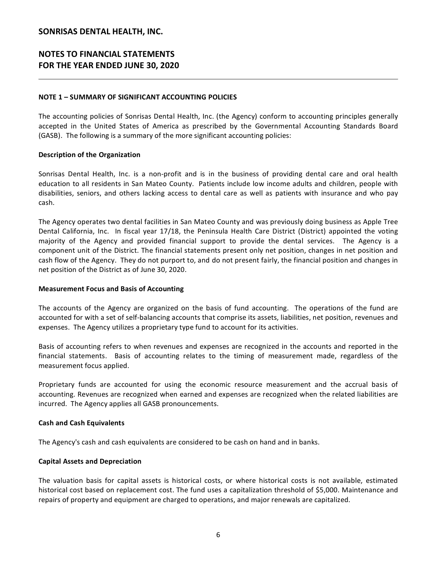### **NOTES TO FINANCIAL STATEMENTS FOR THE YEAR ENDED JUNE 30, 2020**

#### **NOTE 1 – SUMMARY OF SIGNIFICANT ACCOUNTING POLICIES**

The accounting policies of Sonrisas Dental Health, Inc. (the Agency) conform to accounting principles generally accepted in the United States of America as prescribed by the Governmental Accounting Standards Board (GASB). The following is a summary of the more significant accounting policies:

#### **Description of the Organization**

Sonrisas Dental Health, Inc. is a non-profit and is in the business of providing dental care and oral health education to all residents in San Mateo County. Patients include low income adults and children, people with disabilities, seniors, and others lacking access to dental care as well as patients with insurance and who pay cash.

The Agency operates two dental facilities in San Mateo County and was previously doing business as Apple Tree Dental California, Inc. In fiscal year 17/18, the Peninsula Health Care District (District) appointed the voting majority of the Agency and provided financial support to provide the dental services. The Agency is a component unit of the District. The financial statements present only net position, changes in net position and cash flow of the Agency. They do not purport to, and do not present fairly, the financial position and changes in net position of the District as of June 30, 2020.

#### **Measurement Focus and Basis of Accounting**

The accounts of the Agency are organized on the basis of fund accounting. The operations of the fund are accounted for with a set of self-balancing accounts that comprise its assets, liabilities, net position, revenues and expenses. The Agency utilizes a proprietary type fund to account for its activities.

Basis of accounting refers to when revenues and expenses are recognized in the accounts and reported in the financial statements. Basis of accounting relates to the timing of measurement made, regardless of the measurement focus applied.

Proprietary funds are accounted for using the economic resource measurement and the accrual basis of accounting. Revenues are recognized when earned and expenses are recognized when the related liabilities are incurred. The Agency applies all GASB pronouncements.

#### **Cash and Cash Equivalents**

The Agency's cash and cash equivalents are considered to be cash on hand and in banks.

#### **Capital Assets and Depreciation**

The valuation basis for capital assets is historical costs, or where historical costs is not available, estimated historical cost based on replacement cost. The fund uses a capitalization threshold of \$5,000. Maintenance and repairs of property and equipment are charged to operations, and major renewals are capitalized.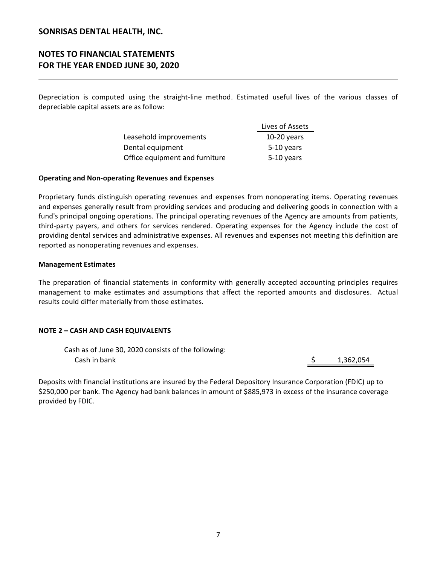### **NOTES TO FINANCIAL STATEMENTS FOR THE YEAR ENDED JUNE 30, 2020**

Depreciation is computed using the straight-line method. Estimated useful lives of the various classes of depreciable capital assets are as follow:

|                                | Lives of Assets |
|--------------------------------|-----------------|
| Leasehold improvements         | $10-20$ years   |
| Dental equipment               | 5-10 years      |
| Office equipment and furniture | 5-10 years      |

#### **Operating and Non-operating Revenues and Expenses**

Proprietary funds distinguish operating revenues and expenses from nonoperating items. Operating revenues and expenses generally result from providing services and producing and delivering goods in connection with a fund's principal ongoing operations. The principal operating revenues of the Agency are amounts from patients, third-party payers, and others for services rendered. Operating expenses for the Agency include the cost of providing dental services and administrative expenses. All revenues and expenses not meeting this definition are reported as nonoperating revenues and expenses.

#### **Management Estimates**

The preparation of financial statements in conformity with generally accepted accounting principles requires management to make estimates and assumptions that affect the reported amounts and disclosures. Actual results could differ materially from those estimates.

#### **NOTE 2 – CASH AND CASH EQUIVALENTS**

Cash as of June 30, 2020 consists of the following: Cash in bank  $\zeta$  1,362,054

Deposits with financial institutions are insured by the Federal Depository Insurance Corporation (FDIC) up to \$250,000 per bank. The Agency had bank balances in amount of \$885,973 in excess of the insurance coverage provided by FDIC.